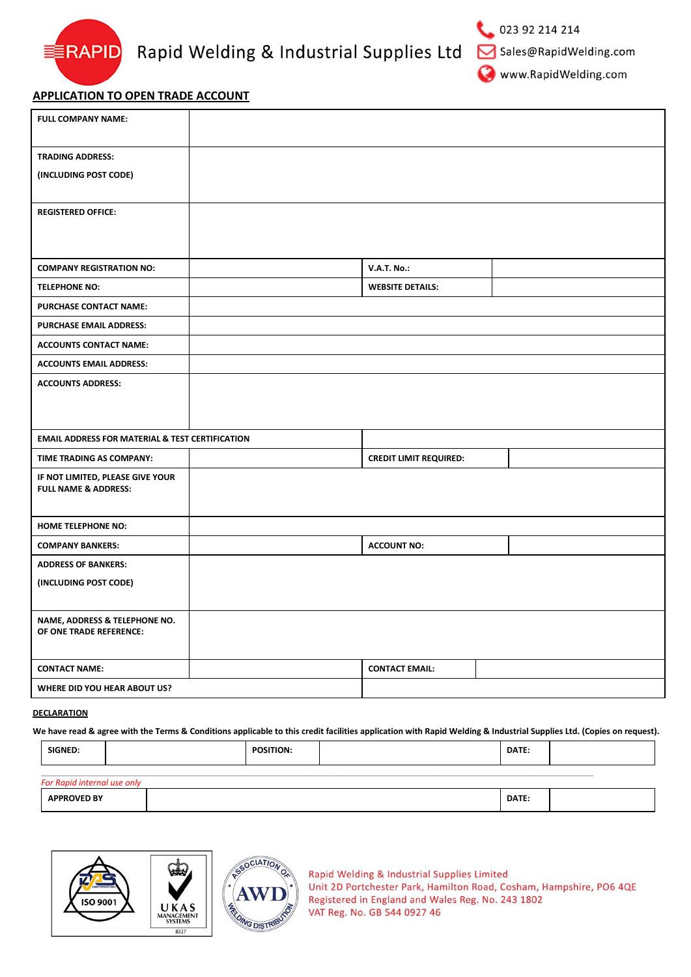

Sales@RapidWelding.com

www.RapidWelding.com

## **APPLICATION TO OPEN TRADE ACCOUNT**

| <b>FULL COMPANY NAME:</b>                                  |                               |  |
|------------------------------------------------------------|-------------------------------|--|
| <b>TRADING ADDRESS:</b>                                    |                               |  |
| (INCLUDING POST CODE)                                      |                               |  |
|                                                            |                               |  |
| <b>REGISTERED OFFICE:</b>                                  |                               |  |
|                                                            |                               |  |
|                                                            |                               |  |
| <b>COMPANY REGISTRATION NO:</b>                            | <b>V.A.T. No.:</b>            |  |
| <b>TELEPHONE NO:</b>                                       | <b>WEBSITE DETAILS:</b>       |  |
| <b>PURCHASE CONTACT NAME:</b>                              |                               |  |
| PURCHASE EMAIL ADDRESS:                                    |                               |  |
| <b>ACCOUNTS CONTACT NAME:</b>                              |                               |  |
| <b>ACCOUNTS EMAIL ADDRESS:</b>                             |                               |  |
| <b>ACCOUNTS ADDRESS:</b>                                   |                               |  |
|                                                            |                               |  |
|                                                            |                               |  |
| <b>EMAIL ADDRESS FOR MATERIAL &amp; TEST CERTIFICATION</b> |                               |  |
| TIME TRADING AS COMPANY:                                   | <b>CREDIT LIMIT REQUIRED:</b> |  |
| IF NOT LIMITED, PLEASE GIVE YOUR                           |                               |  |
| <b>FULL NAME &amp; ADDRESS:</b>                            |                               |  |
| HOME TELEPHONE NO:                                         |                               |  |
| <b>COMPANY BANKERS:</b>                                    | <b>ACCOUNT NO:</b>            |  |
| <b>ADDRESS OF BANKERS:</b>                                 |                               |  |
| (INCLUDING POST CODE)                                      |                               |  |
|                                                            |                               |  |
| NAME, ADDRESS & TELEPHONE NO.                              |                               |  |
| OF ONE TRADE REFERENCE:                                    |                               |  |
|                                                            |                               |  |
| <b>CONTACT NAME:</b>                                       | <b>CONTACT EMAIL:</b>         |  |
| WHERE DID YOU HEAR ABOUT US?                               |                               |  |

### **DECLARATION**

**We have read & agree with the Terms & Conditions applicable to this credit facilities application with Rapid Welding & Industrial Supplies Ltd. (Copies on request).**

| <b>SIGNEL</b><br>___ |  | DATE: |  |
|----------------------|--|-------|--|
|                      |  |       |  |

| DATE:<br>.<br>---<br>1171<br>nı |
|---------------------------------|
|---------------------------------|





Rapid Welding & Industrial Supplies Limited Unit 2D Portchester Park, Hamilton Road, Cosham, Hampshire, PO6 4QE Registered in England and Wales Reg. No. 243 1802 VAT Reg. No. GB 544 0927 46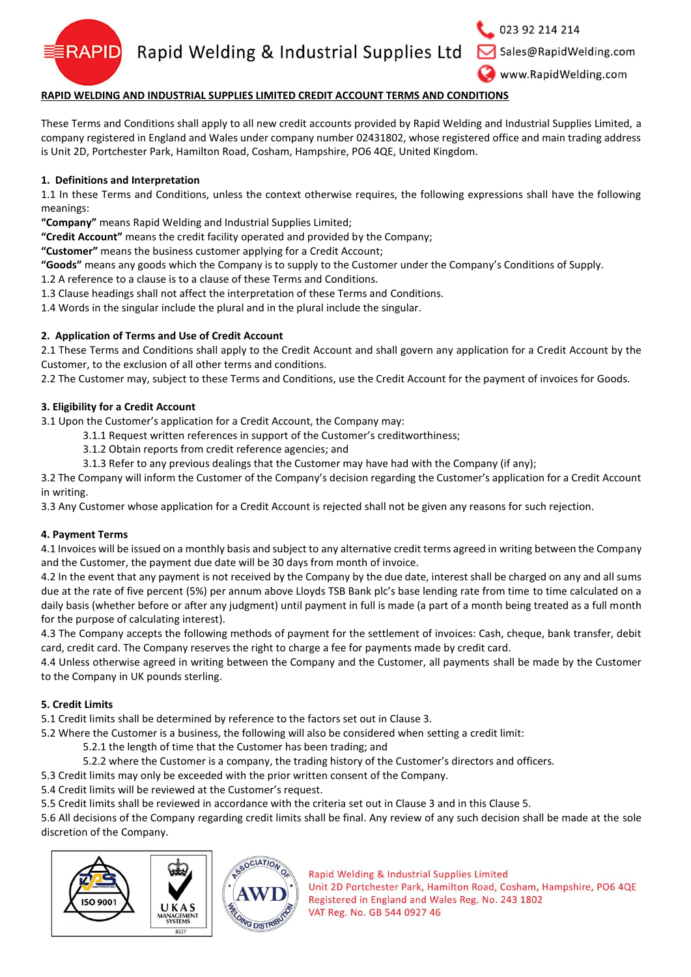

Rapid Welding & Industrial Supplies Ltd

023 92 214 214

Sales@RapidWelding.com

www.RapidWelding.com

# **RAPID WELDING AND INDUSTRIAL SUPPLIES LIMITED CREDIT ACCOUNT TERMS AND CONDITIONS**

These Terms and Conditions shall apply to all new credit accounts provided by Rapid Welding and Industrial Supplies Limited, a company registered in England and Wales under company number 02431802, whose registered office and main trading address is Unit 2D, Portchester Park, Hamilton Road, Cosham, Hampshire, PO6 4QE, United Kingdom.

## **1. Definitions and Interpretation**

1.1 In these Terms and Conditions, unless the context otherwise requires, the following expressions shall have the following meanings:

**"Company"** means Rapid Welding and Industrial Supplies Limited;

**"Credit Account"** means the credit facility operated and provided by the Company;

**"Customer"** means the business customer applying for a Credit Account;

**"Goods"** means any goods which the Company is to supply to the Customer under the Company's Conditions of Supply.

1.2 A reference to a clause is to a clause of these Terms and Conditions.

1.3 Clause headings shall not affect the interpretation of these Terms and Conditions.

1.4 Words in the singular include the plural and in the plural include the singular.

## **2. Application of Terms and Use of Credit Account**

2.1 These Terms and Conditions shall apply to the Credit Account and shall govern any application for a Credit Account by the Customer, to the exclusion of all other terms and conditions.

2.2 The Customer may, subject to these Terms and Conditions, use the Credit Account for the payment of invoices for Goods.

## **3. Eligibility for a Credit Account**

3.1 Upon the Customer's application for a Credit Account, the Company may:

- 3.1.1 Request written references in support of the Customer's creditworthiness;
- 3.1.2 Obtain reports from credit reference agencies; and
- 3.1.3 Refer to any previous dealings that the Customer may have had with the Company (if any);

3.2 The Company will inform the Customer of the Company's decision regarding the Customer's application for a Credit Account in writing.

3.3 Any Customer whose application for a Credit Account is rejected shall not be given any reasons for such rejection.

### **4. Payment Terms**

4.1 Invoices will be issued on a monthly basis and subject to any alternative credit terms agreed in writing between the Company and the Customer, the payment due date will be 30 days from month of invoice.

4.2 In the event that any payment is not received by the Company by the due date, interest shall be charged on any and all sums due at the rate of five percent (5%) per annum above Lloyds TSB Bank plc's base lending rate from time to time calculated on a daily basis (whether before or after any judgment) until payment in full is made (a part of a month being treated as a full month for the purpose of calculating interest).

4.3 The Company accepts the following methods of payment for the settlement of invoices: Cash, cheque, bank transfer, debit card, credit card. The Company reserves the right to charge a fee for payments made by credit card.

4.4 Unless otherwise agreed in writing between the Company and the Customer, all payments shall be made by the Customer to the Company in UK pounds sterling.

## **5. Credit Limits**

5.1 Credit limits shall be determined by reference to the factors set out in Clause 3.

5.2 Where the Customer is a business, the following will also be considered when setting a credit limit:

- 5.2.1 the length of time that the Customer has been trading; and
- 5.2.2 where the Customer is a company, the trading history of the Customer's directors and officers.

5.3 Credit limits may only be exceeded with the prior written consent of the Company.

5.4 Credit limits will be reviewed at the Customer's request.

5.5 Credit limits shall be reviewed in accordance with the criteria set out in Clause 3 and in this Clause 5.

5.6 All decisions of the Company regarding credit limits shall be final. Any review of any such decision shall be made at the sole discretion of the Company.



Rapid Welding & Industrial Supplies Limited Unit 2D Portchester Park, Hamilton Road, Cosham, Hampshire, PO6 4QE Registered in England and Wales Reg. No. 243 1802

VAT Reg. No. GB 544 0927 46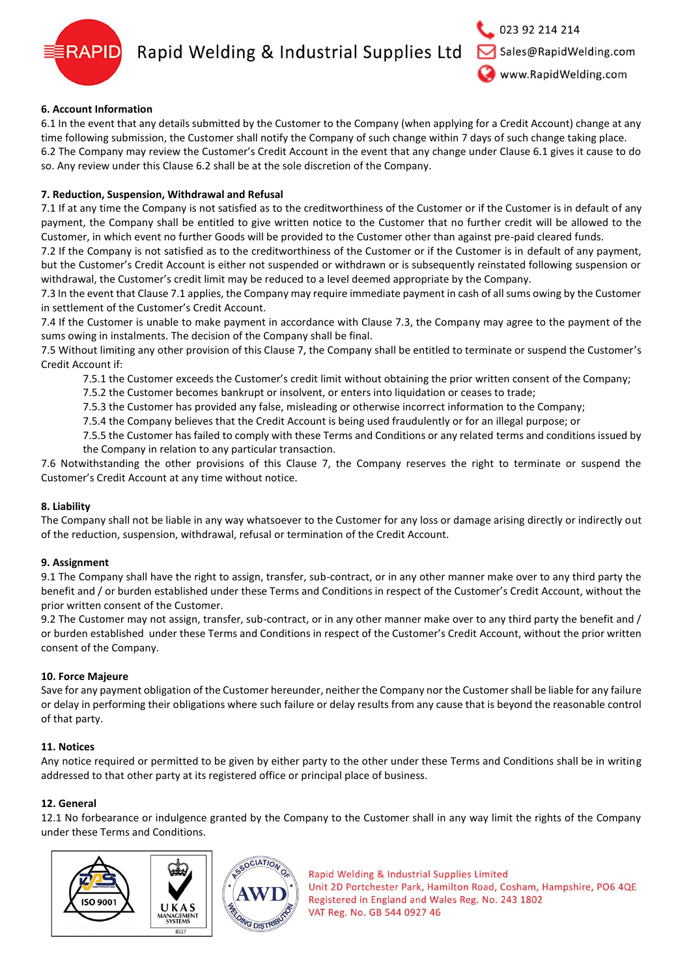

# Rapid Welding & Industrial Supplies Ltd

## **6. Account Information**

6.1 In the event that any details submitted by the Customer to the Company (when applying for a Credit Account) change at any time following submission, the Customer shall notify the Company of such change within 7 days of such change taking place. 6.2 The Company may review the Customer's Credit Account in the event that any change under Clause 6.1 gives it cause to do so. Any review under this Clause 6.2 shall be at the sole discretion of the Company.

### **7. Reduction, Suspension, Withdrawal and Refusal**

7.1 If at any time the Company is not satisfied as to the creditworthiness of the Customer or if the Customer is in default of any payment, the Company shall be entitled to give written notice to the Customer that no further credit will be allowed to the Customer, in which event no further Goods will be provided to the Customer other than against pre-paid cleared funds.

7.2 If the Company is not satisfied as to the creditworthiness of the Customer or if the Customer is in default of any payment, but the Customer's Credit Account is either not suspended or withdrawn or is subsequently reinstated following suspension or withdrawal, the Customer's credit limit may be reduced to a level deemed appropriate by the Company.

7.3 In the event that Clause 7.1 applies, the Company may require immediate payment in cash of all sums owing by the Customer in settlement of the Customer's Credit Account.

7.4 If the Customer is unable to make payment in accordance with Clause 7.3, the Company may agree to the payment of the sums owing in instalments. The decision of the Company shall be final.

7.5 Without limiting any other provision of this Clause 7, the Company shall be entitled to terminate or suspend the Customer's Credit Account if:

7.5.1 the Customer exceeds the Customer's credit limit without obtaining the prior written consent of the Company;

7.5.2 the Customer becomes bankrupt or insolvent, or enters into liquidation or ceases to trade;

7.5.3 the Customer has provided any false, misleading or otherwise incorrect information to the Company;

7.5.4 the Company believes that the Credit Account is being used fraudulently or for an illegal purpose; or

7.5.5 the Customer has failed to comply with these Terms and Conditions or any related terms and conditions issued by the Company in relation to any particular transaction.

7.6 Notwithstanding the other provisions of this Clause 7, the Company reserves the right to terminate or suspend the Customer's Credit Account at any time without notice.

### **8. Liability**

The Company shall not be liable in any way whatsoever to the Customer for any loss or damage arising directly or indirectly out of the reduction, suspension, withdrawal, refusal or termination of the Credit Account.

### **9. Assignment**

9.1 The Company shall have the right to assign, transfer, sub-contract, or in any other manner make over to any third party the benefit and / or burden established under these Terms and Conditions in respect of the Customer's Credit Account, without the prior written consent of the Customer.

9.2 The Customer may not assign, transfer, sub-contract, or in any other manner make over to any third party the benefit and / or burden established under these Terms and Conditions in respect of the Customer's Credit Account, without the prior written consent of the Company.

### **10. Force Majeure**

Save for any payment obligation of the Customer hereunder, neither the Company nor the Customer shall be liable for any failure or delay in performing their obligations where such failure or delay results from any cause that is beyond the reasonable control of that party.

### **11. Notices**

Any notice required or permitted to be given by either party to the other under these Terms and Conditions shall be in writing addressed to that other party at its registered office or principal place of business.

## **12. General**

12.1 No forbearance or indulgence granted by the Company to the Customer shall in any way limit the rights of the Company under these Terms and Conditions.



Rapid Welding & Industrial Supplies Limited Unit 2D Portchester Park, Hamilton Road, Cosham, Hampshire, PO6 4QE Registered in England and Wales Reg. No. 243 1802 VAT Reg. No. GB 544 0927 46